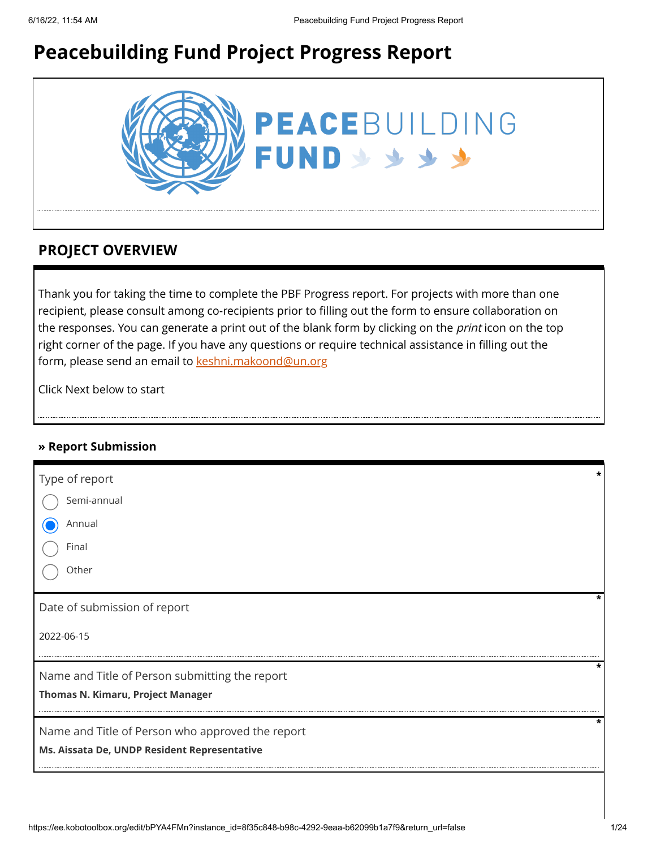# **Peacebuilding Fund Project Progress Report**



## **PROJECT OVERVIEW**

Thank you for taking the time to complete the PBF Progress report. For projects with more than one recipient, please consult among co-recipients prior to filling out the form to ensure collaboration on the responses. You can generate a print out of the blank form by clicking on the *print* icon on the top right corner of the page. If you have any questions or require technical assistance in filling out the form, please send an email to [keshni.makoond@un.org](https://ee.kobotoolbox.org/edit/keshni.makoond@un.org)

Click Next below to start

### **» Report Submission**

| Type of report                                   |  |
|--------------------------------------------------|--|
| Semi-annual                                      |  |
| Annual                                           |  |
| Final                                            |  |
| Other                                            |  |
| Date of submission of report                     |  |
| 2022-06-15                                       |  |
| Name and Title of Person submitting the report   |  |
| <b>Thomas N. Kimaru, Project Manager</b>         |  |
| Name and Title of Person who approved the report |  |
| Ms. Aissata De, UNDP Resident Representative     |  |
|                                                  |  |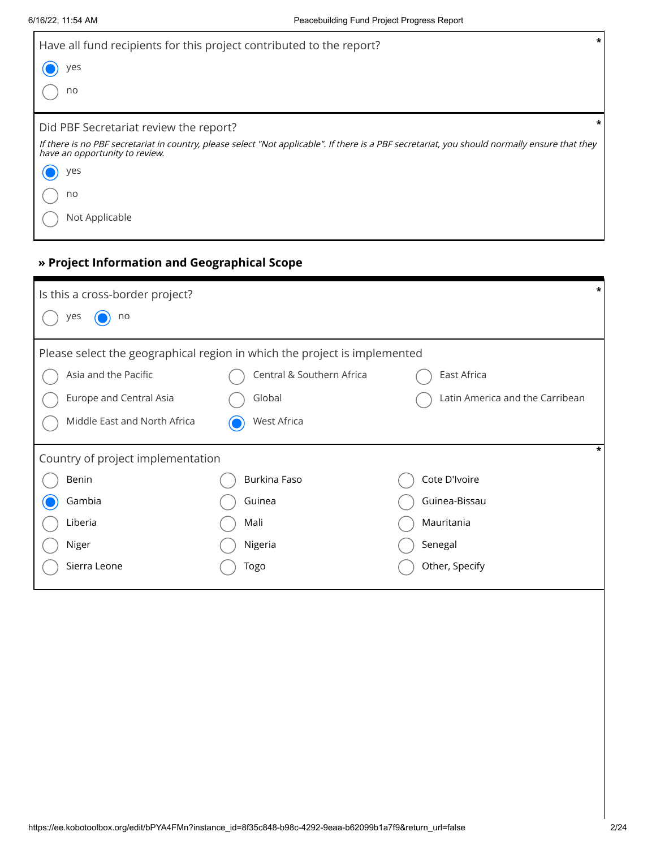| Have all fund recipients for this project contributed to the report?                                                                                                             | $\star$ |
|----------------------------------------------------------------------------------------------------------------------------------------------------------------------------------|---------|
| yes                                                                                                                                                                              |         |
| no                                                                                                                                                                               |         |
| Did PBF Secretariat review the report?                                                                                                                                           | *       |
| If there is no PBF secretariat in country, please select "Not applicable". If there is a PBF secretariat, you should normally ensure that they<br>have an opportunity to review. |         |
| yes                                                                                                                                                                              |         |
| no                                                                                                                                                                               |         |
| Not Applicable                                                                                                                                                                   |         |

## **» Project Information and Geographical Scope**

| Is this a cross-border project?   |                                                                           | *                               |
|-----------------------------------|---------------------------------------------------------------------------|---------------------------------|
| yes<br>no                         |                                                                           |                                 |
|                                   | Please select the geographical region in which the project is implemented |                                 |
| Asia and the Pacific              | Central & Southern Africa                                                 | East Africa                     |
| Europe and Central Asia           | Global                                                                    | Latin America and the Carribean |
| Middle East and North Africa      | West Africa                                                               |                                 |
| Country of project implementation |                                                                           | *                               |
| Benin                             | Burkina Faso                                                              | Cote D'Ivoire                   |
| Gambia                            | Guinea                                                                    | Guinea-Bissau                   |
| Liberia                           | Mali                                                                      | Mauritania                      |
| Niger                             | Nigeria                                                                   | Senegal                         |
| Sierra Leone                      | Togo                                                                      | Other, Specify                  |
|                                   |                                                                           |                                 |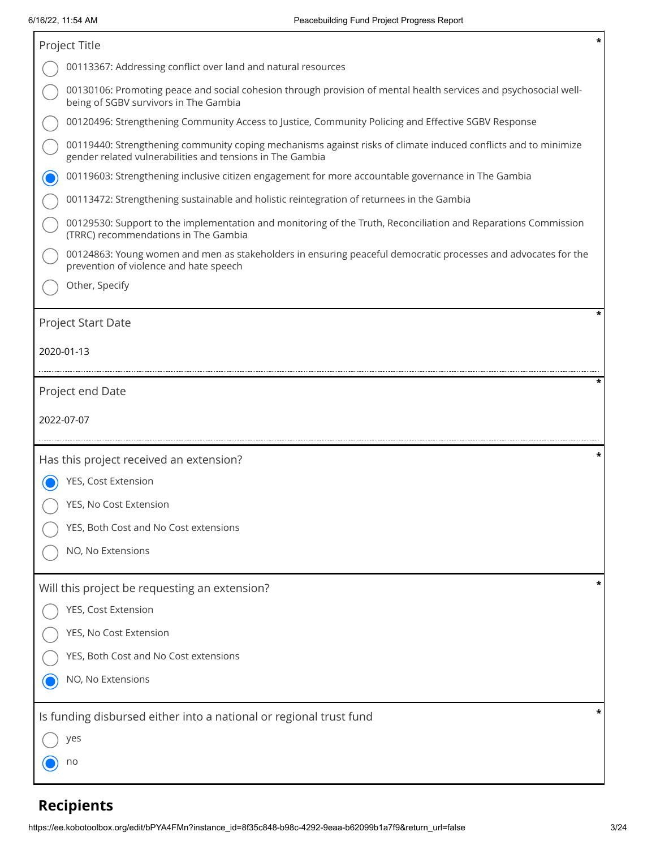| Project Title                                                                                                                                                               | * |
|-----------------------------------------------------------------------------------------------------------------------------------------------------------------------------|---|
| 00113367: Addressing conflict over land and natural resources                                                                                                               |   |
| 00130106: Promoting peace and social cohesion through provision of mental health services and psychosocial well-<br>being of SGBV survivors in The Gambia                   |   |
| 00120496: Strengthening Community Access to Justice, Community Policing and Effective SGBV Response                                                                         |   |
| 00119440: Strengthening community coping mechanisms against risks of climate induced conflicts and to minimize<br>gender related vulnerabilities and tensions in The Gambia |   |
| 00119603: Strengthening inclusive citizen engagement for more accountable governance in The Gambia                                                                          |   |
| 00113472: Strengthening sustainable and holistic reintegration of returnees in the Gambia                                                                                   |   |
| 00129530: Support to the implementation and monitoring of the Truth, Reconciliation and Reparations Commission<br>(TRRC) recommendations in The Gambia                      |   |
| 00124863: Young women and men as stakeholders in ensuring peaceful democratic processes and advocates for the<br>prevention of violence and hate speech                     |   |
| Other, Specify                                                                                                                                                              |   |
| Project Start Date                                                                                                                                                          |   |
| 2020-01-13                                                                                                                                                                  |   |
|                                                                                                                                                                             |   |
| Project end Date                                                                                                                                                            |   |
|                                                                                                                                                                             |   |
| 2022-07-07                                                                                                                                                                  |   |
| Has this project received an extension?                                                                                                                                     |   |
| YES, Cost Extension                                                                                                                                                         |   |
| YES, No Cost Extension                                                                                                                                                      |   |
| YES, Both Cost and No Cost extensions                                                                                                                                       |   |
| NO, No Extensions                                                                                                                                                           |   |
| Will this project be requesting an extension?                                                                                                                               |   |
| YES, Cost Extension                                                                                                                                                         |   |
| YES, No Cost Extension                                                                                                                                                      |   |
| YES, Both Cost and No Cost extensions                                                                                                                                       |   |
| NO, No Extensions                                                                                                                                                           |   |
| Is funding disbursed either into a national or regional trust fund                                                                                                          |   |
| yes                                                                                                                                                                         |   |

# **Recipients**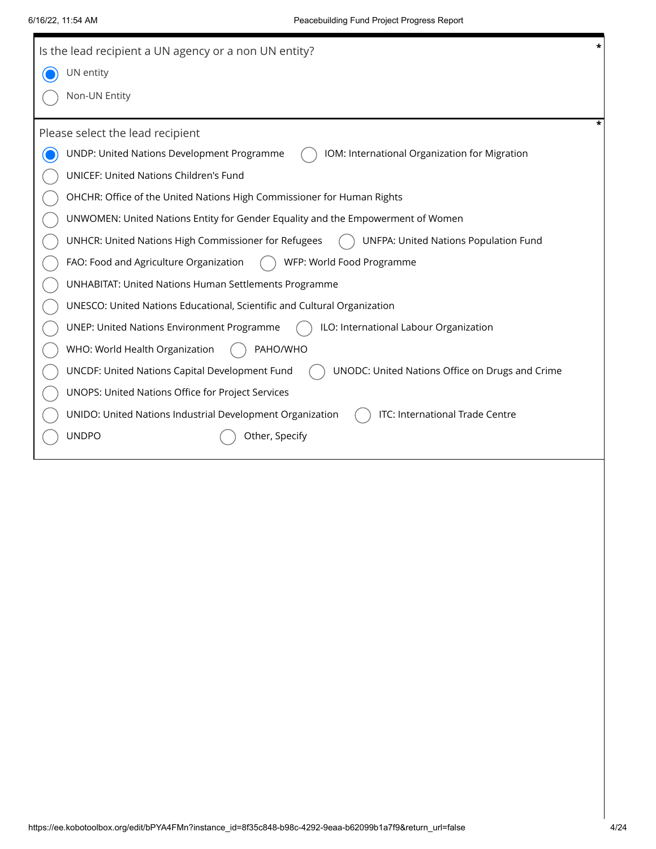| $\star$<br>Is the lead recipient a UN agency or a non UN entity?                                  |
|---------------------------------------------------------------------------------------------------|
| UN entity                                                                                         |
| Non-UN Entity                                                                                     |
| *<br>Please select the lead recipient                                                             |
| UNDP: United Nations Development Programme<br>IOM: International Organization for Migration       |
| UNICEF: United Nations Children's Fund                                                            |
| OHCHR: Office of the United Nations High Commissioner for Human Rights                            |
| UNWOMEN: United Nations Entity for Gender Equality and the Empowerment of Women                   |
| UNHCR: United Nations High Commissioner for Refugees<br>UNFPA: United Nations Population Fund     |
| FAO: Food and Agriculture Organization<br>WFP: World Food Programme                               |
| <b>UNHABITAT: United Nations Human Settlements Programme</b>                                      |
| UNESCO: United Nations Educational, Scientific and Cultural Organization                          |
| <b>UNEP: United Nations Environment Programme</b><br>ILO: International Labour Organization       |
| WHO: World Health Organization<br>PAHO/WHO                                                        |
| UNCDF: United Nations Capital Development Fund<br>UNODC: United Nations Office on Drugs and Crime |
| UNOPS: United Nations Office for Project Services                                                 |
| ITC: International Trade Centre<br>UNIDO: United Nations Industrial Development Organization      |
| <b>UNDPO</b><br>Other, Specify                                                                    |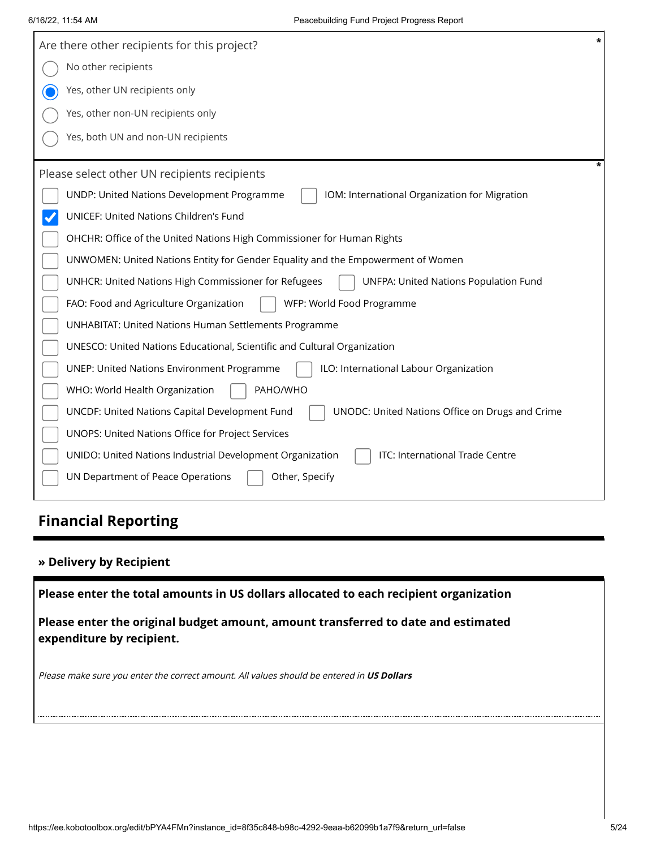| $\star$<br>Are there other recipients for this project?                                              |
|------------------------------------------------------------------------------------------------------|
| No other recipients                                                                                  |
| Yes, other UN recipients only                                                                        |
| Yes, other non-UN recipients only                                                                    |
| Yes, both UN and non-UN recipients                                                                   |
| *<br>Please select other UN recipients recipients                                                    |
| UNDP: United Nations Development Programme<br>IOM: International Organization for Migration          |
| UNICEF: United Nations Children's Fund                                                               |
| OHCHR: Office of the United Nations High Commissioner for Human Rights                               |
| UNWOMEN: United Nations Entity for Gender Equality and the Empowerment of Women                      |
| <b>UNFPA: United Nations Population Fund</b><br>UNHCR: United Nations High Commissioner for Refugees |
| FAO: Food and Agriculture Organization<br>WFP: World Food Programme                                  |
| <b>UNHABITAT: United Nations Human Settlements Programme</b>                                         |
| UNESCO: United Nations Educational, Scientific and Cultural Organization                             |
| <b>UNEP: United Nations Environment Programme</b><br>ILO: International Labour Organization          |
| PAHO/WHO<br>WHO: World Health Organization                                                           |
| UNCDF: United Nations Capital Development Fund<br>UNODC: United Nations Office on Drugs and Crime    |
| UNOPS: United Nations Office for Project Services                                                    |
| ITC: International Trade Centre<br>UNIDO: United Nations Industrial Development Organization         |
| UN Department of Peace Operations<br>Other, Specify                                                  |

# **Financial Reporting**

## **» Delivery by Recipient**

**Please enter the total amounts in US dollars allocated to each recipient organization**

**Please enter the original budget amount, amount transferred to date and estimated expenditure by recipient.**

Please make sure you enter the correct amount. All values should be entered in **US Dollars**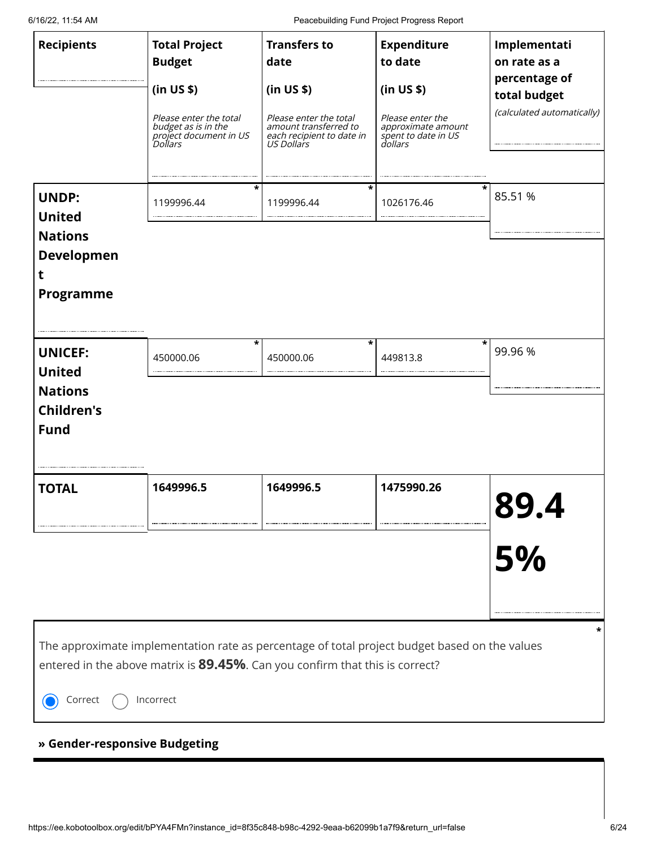6/16/22, 11:54 AM Peacebuilding Fund Project Progress Report

| <b>Recipients</b><br><b>UNDP:</b>                                                     | <b>Total Project</b><br><b>Budget</b><br>(in US \$)<br>Please enter the total<br>budget as is in the<br>project document in US<br><i>Dollars</i><br>*<br>1199996.44                        | <b>Transfers to</b><br>date<br>(in US \$)<br>Please enter the total<br>amount transferred to<br>each recipient to date in<br>US Dollars<br>*<br>1199996.44 | <b>Expenditure</b><br>to date<br>(in US \$)<br>Please enter the<br>approximate amount<br>spent to date in US<br>dollars<br>1026176.46 | Implementati<br>on rate as a<br>percentage of<br>total budget<br>(calculated automatically)<br>85.51 % |
|---------------------------------------------------------------------------------------|--------------------------------------------------------------------------------------------------------------------------------------------------------------------------------------------|------------------------------------------------------------------------------------------------------------------------------------------------------------|---------------------------------------------------------------------------------------------------------------------------------------|--------------------------------------------------------------------------------------------------------|
| <b>United</b><br><b>Nations</b><br><b>Developmen</b><br>t<br>Programme                |                                                                                                                                                                                            |                                                                                                                                                            |                                                                                                                                       |                                                                                                        |
| <b>UNICEF:</b><br><b>United</b><br><b>Nations</b><br><b>Children's</b><br><b>Fund</b> | $\star$<br>450000.06                                                                                                                                                                       | *<br>450000.06                                                                                                                                             | 449813.8                                                                                                                              | $\star$<br>99.96 %                                                                                     |
| <b>TOTAL</b>                                                                          | 1649996.5                                                                                                                                                                                  | 1649996.5                                                                                                                                                  | 1475990.26                                                                                                                            | 89.<br>5%                                                                                              |
| Correct<br>» Gender-responsive Budgeting                                              | The approximate implementation rate as percentage of total project budget based on the values<br>entered in the above matrix is 89.45%. Can you confirm that this is correct?<br>Incorrect |                                                                                                                                                            |                                                                                                                                       |                                                                                                        |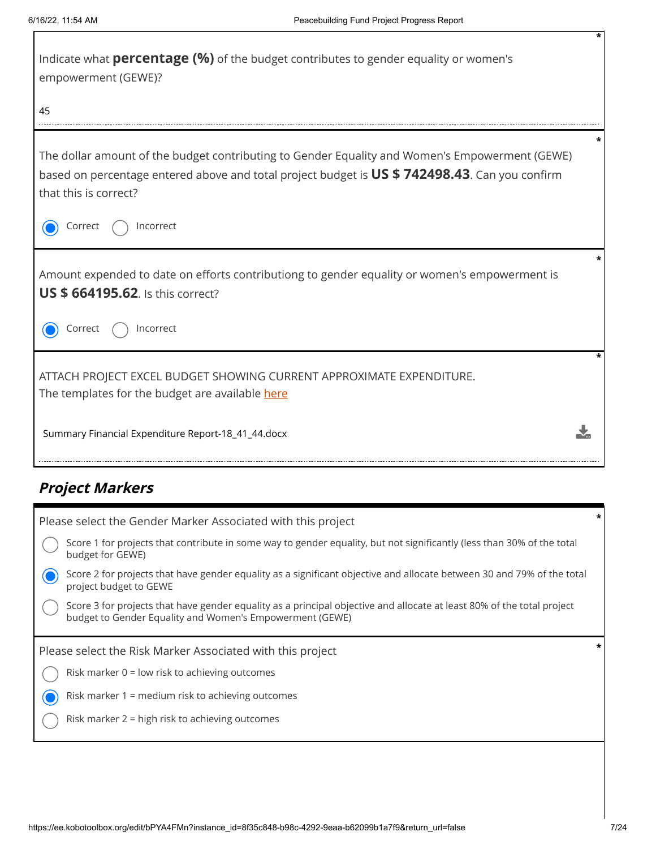| Indicate what <b>percentage (%)</b> of the budget contributes to gender equality or women's<br>empowerment (GEWE)?                                                                                                       |  |
|--------------------------------------------------------------------------------------------------------------------------------------------------------------------------------------------------------------------------|--|
| 45                                                                                                                                                                                                                       |  |
| The dollar amount of the budget contributing to Gender Equality and Women's Empowerment (GEWE)<br>based on percentage entered above and total project budget is US \$742498.43. Can you confirm<br>that this is correct? |  |
| Correct<br>Incorrect                                                                                                                                                                                                     |  |
| Amount expended to date on efforts contributiong to gender equality or women's empowerment is<br><b>US \$ 664195.62.</b> Is this correct?                                                                                |  |
| Incorrect<br>Correct                                                                                                                                                                                                     |  |
| ATTACH PROJECT EXCEL BUDGET SHOWING CURRENT APPROXIMATE EXPENDITURE.<br>The templates for the budget are available here                                                                                                  |  |
| Summary Financial Expenditure Report-18_41_44.docx                                                                                                                                                                       |  |

# **Project Markers**

| Please select the Gender Marker Associated with this project                                                                                                                       |  |
|------------------------------------------------------------------------------------------------------------------------------------------------------------------------------------|--|
| Score 1 for projects that contribute in some way to gender equality, but not significantly (less than 30% of the total<br>budget for GEWE)                                         |  |
| Score 2 for projects that have gender equality as a significant objective and allocate between 30 and 79% of the total<br>project budget to GEWE                                   |  |
| Score 3 for projects that have gender equality as a principal objective and allocate at least 80% of the total project<br>budget to Gender Equality and Women's Empowerment (GEWE) |  |
| Please select the Risk Marker Associated with this project                                                                                                                         |  |
| Risk marker $0 =$ low risk to achieving outcomes                                                                                                                                   |  |
| Risk marker 1 = medium risk to achieving outcomes                                                                                                                                  |  |
|                                                                                                                                                                                    |  |
| Risk marker 2 = high risk to achieving outcomes                                                                                                                                    |  |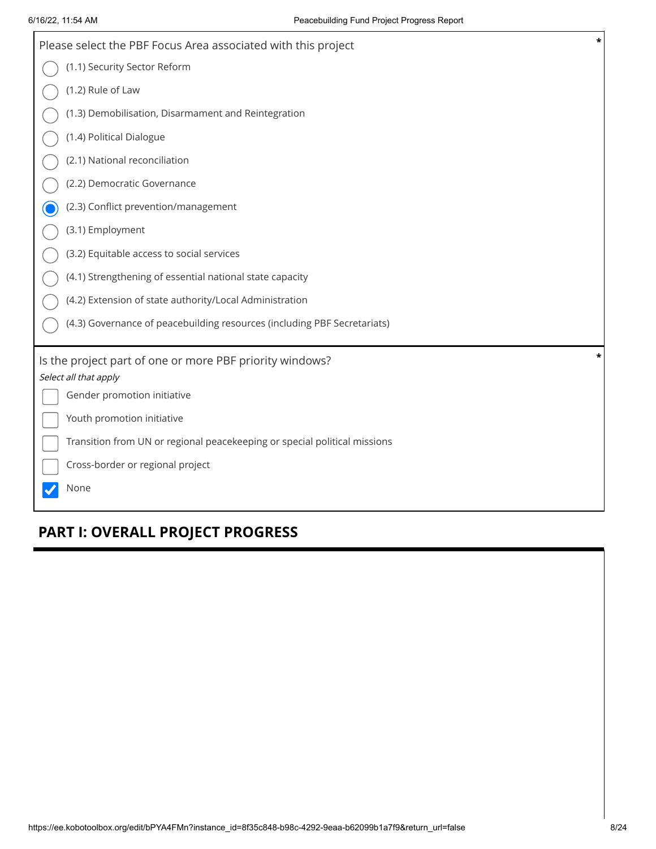| Please select the PBF Focus Area associated with this project             | $\ast$ |
|---------------------------------------------------------------------------|--------|
| (1.1) Security Sector Reform                                              |        |
| (1.2) Rule of Law                                                         |        |
| (1.3) Demobilisation, Disarmament and Reintegration                       |        |
| (1.4) Political Dialogue                                                  |        |
| (2.1) National reconciliation                                             |        |
| (2.2) Democratic Governance                                               |        |
| (2.3) Conflict prevention/management                                      |        |
| (3.1) Employment                                                          |        |
| (3.2) Equitable access to social services                                 |        |
| (4.1) Strengthening of essential national state capacity                  |        |
| (4.2) Extension of state authority/Local Administration                   |        |
| (4.3) Governance of peacebuilding resources (including PBF Secretariats)  |        |
| Is the project part of one or more PBF priority windows?                  | *      |
| Select all that apply                                                     |        |
| Gender promotion initiative                                               |        |
| Youth promotion initiative                                                |        |
| Transition from UN or regional peacekeeping or special political missions |        |
| Cross-border or regional project                                          |        |
| None                                                                      |        |

# **PART I: OVERALL PROJECT PROGRESS**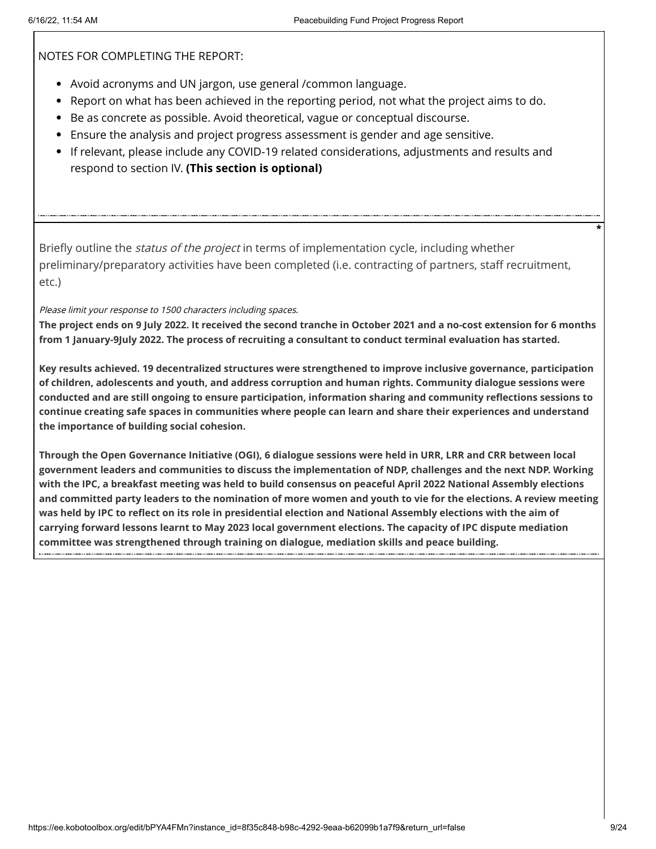NOTES FOR COMPLETING THE REPORT:

- Avoid acronyms and UN jargon, use general /common language.
- Report on what has been achieved in the reporting period, not what the project aims to do.
- Be as concrete as possible. Avoid theoretical, vague or conceptual discourse.
- Ensure the analysis and project progress assessment is gender and age sensitive.
- If relevant, please include any COVID-19 related considerations, adjustments and results and respond to section IV. **(This section is optional)**

Briefly outline the *status of the project* in terms of implementation cycle, including whether preliminary/preparatory activities have been completed (i.e. contracting of partners, staff recruitment, etc.)

Please limit your response to 1500 characters including spaces.

**The project ends on 9 July 2022. It received the second tranche in October 2021 and a no-cost extension for 6 months from 1 January-9July 2022. The process of recruiting a consultant to conduct terminal evaluation has started.** 

**Key results achieved. 19 decentralized structures were strengthened to improve inclusive governance, participation of children, adolescents and youth, and address corruption and human rights. Community dialogue sessions were conducted and are still ongoing to ensure participation, information sharing and community reflections sessions to continue creating safe spaces in communities where people can learn and share their experiences and understand the importance of building social cohesion.** 

**Through the Open Governance Initiative (OGI), 6 dialogue sessions were held in URR, LRR and CRR between local government leaders and communities to discuss the implementation of NDP, challenges and the next NDP. Working with the IPC, a breakfast meeting was held to build consensus on peaceful April 2022 National Assembly elections and committed party leaders to the nomination of more women and youth to vie for the elections. A review meeting was held by IPC to reflect on its role in presidential election and National Assembly elections with the aim of carrying forward lessons learnt to May 2023 local government elections. The capacity of IPC dispute mediation committee was strengthened through training on dialogue, mediation skills and peace building.**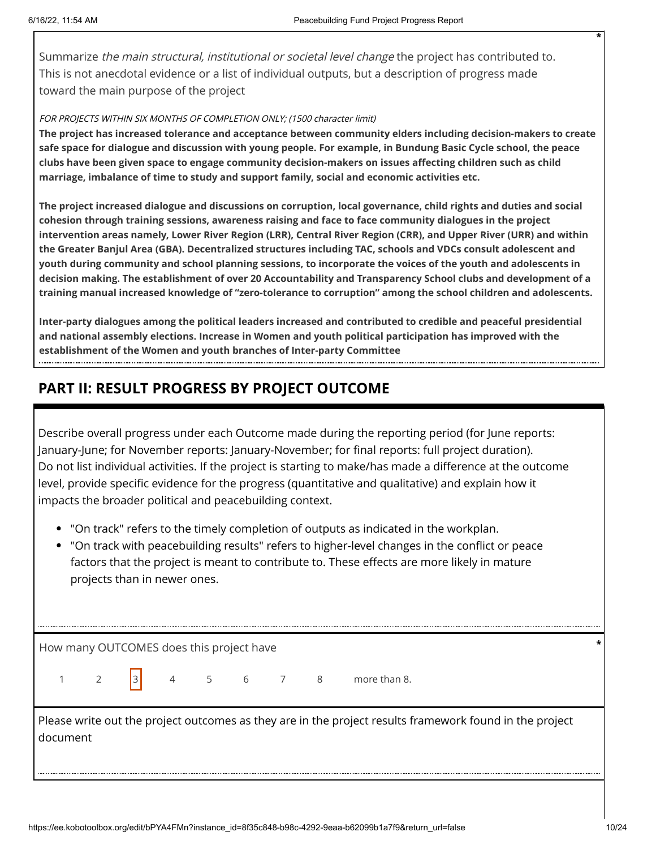Summarize *the main structural, institutional or societal level change* the project has contributed to. This is not anecdotal evidence or a list of individual outputs, but a description of progress made toward the main purpose of the project

#### FOR PROJECTS WITHIN SIX MONTHS OF COMPLETION ONLY; (1500 character limit)

**The project has increased tolerance and acceptance between community elders including decision-makers to create safe space for dialogue and discussion with young people. For example, in Bundung Basic Cycle school, the peace clubs have been given space to engage community decision-makers on issues affecting children such as child marriage, imbalance of time to study and support family, social and economic activities etc.** 

**The project increased dialogue and discussions on corruption, local governance, child rights and duties and social cohesion through training sessions, awareness raising and face to face community dialogues in the project intervention areas namely, Lower River Region (LRR), Central River Region (CRR), and Upper River (URR) and within the Greater Banjul Area (GBA). Decentralized structures including TAC, schools and VDCs consult adolescent and youth during community and school planning sessions, to incorporate the voices of the youth and adolescents in decision making. The establishment of over 20 Accountability and Transparency School clubs and development of a training manual increased knowledge of "zero-tolerance to corruption" among the school children and adolescents.** 

**Inter-party dialogues among the political leaders increased and contributed to credible and peaceful presidential and national assembly elections. Increase in Women and youth political participation has improved with the establishment of the Women and youth branches of Inter-party Committee**

# **PART II: RESULT PROGRESS BY PROJECT OUTCOME**

Describe overall progress under each Outcome made during the reporting period (for June reports: January-June; for November reports: January-November; for final reports: full project duration). Do not list individual activities. If the project is starting to make/has made a difference at the outcome level, provide specific evidence for the progress (quantitative and qualitative) and explain how it impacts the broader political and peacebuilding context.

- "On track" refers to the timely completion of outputs as indicated in the workplan.
- "On track with peacebuilding results" refers to higher-level changes in the conflict or peace factors that the project is meant to contribute to. These effects are more likely in mature projects than in newer ones.

How many OUTCOMES does this project have **\***

1 2  $3$  4 5 6 7 8 more than 8.

Please write out the project outcomes as they are in the project results framework found in the project document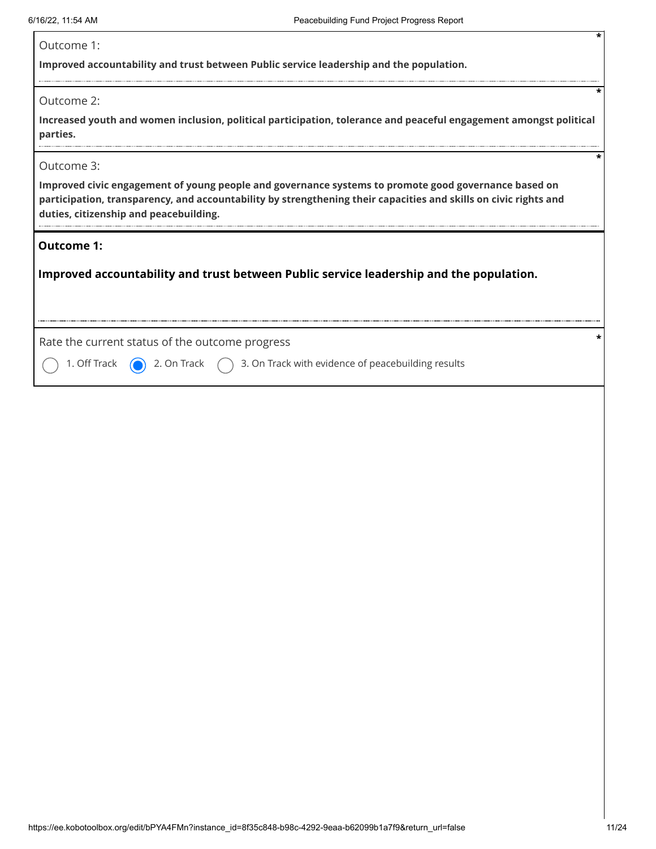| Outcome 1: |  |
|------------|--|
|            |  |

**Improved accountability and trust between Public service leadership and the population.**

Outcome 2:

**Increased youth and women inclusion, political participation, tolerance and peaceful engagement amongst political parties.**

#### Outcome 3:

**Improved civic engagement of young people and governance systems to promote good governance based on participation, transparency, and accountability by strengthening their capacities and skills on civic rights and duties, citizenship and peacebuilding.**

#### **Outcome 1:**

**Improved accountability and trust between Public service leadership and the population.**

Rate the current status of the outcome progress **\***

1. Off Track  $\bigcirc$  2. On Track  $\bigcirc$  3. On Track with evidence of peacebuilding results

**\***

**\***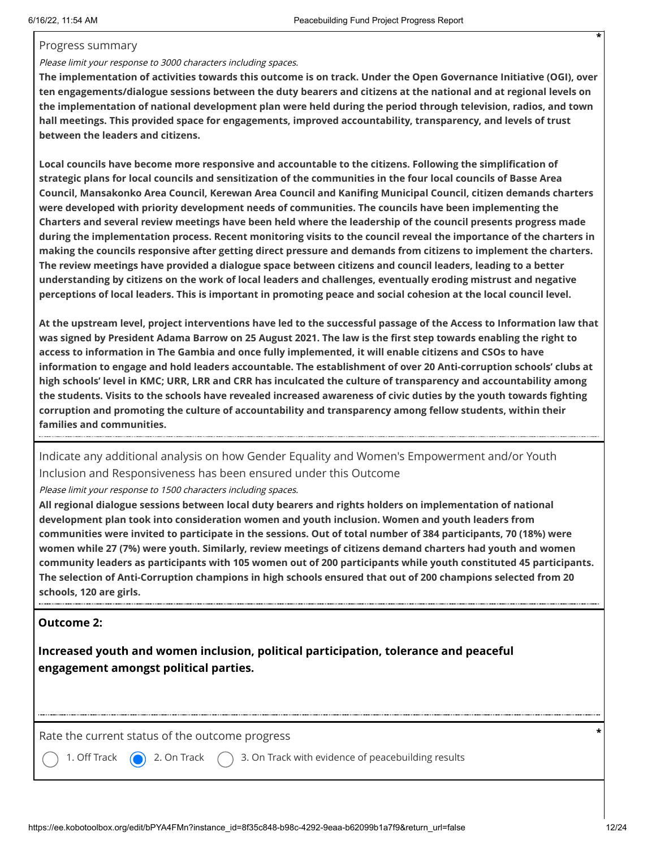#### Progress summary

### Please limit your response to 3000 characters including spaces.

**The implementation of activities towards this outcome is on track. Under the Open Governance Initiative (OGI), over ten engagements/dialogue sessions between the duty bearers and citizens at the national and at regional levels on the implementation of national development plan were held during the period through television, radios, and town hall meetings. This provided space for engagements, improved accountability, transparency, and levels of trust between the leaders and citizens.** 

**Local councils have become more responsive and accountable to the citizens. Following the simplification of strategic plans for local councils and sensitization of the communities in the four local councils of Basse Area Council, Mansakonko Area Council, Kerewan Area Council and Kanifing Municipal Council, citizen demands charters were developed with priority development needs of communities. The councils have been implementing the Charters and several review meetings have been held where the leadership of the council presents progress made during the implementation process. Recent monitoring visits to the council reveal the importance of the charters in making the councils responsive after getting direct pressure and demands from citizens to implement the charters. The review meetings have provided a dialogue space between citizens and council leaders, leading to a better understanding by citizens on the work of local leaders and challenges, eventually eroding mistrust and negative perceptions of local leaders. This is important in promoting peace and social cohesion at the local council level.** 

**At the upstream level, project interventions have led to the successful passage of the Access to Information law that was signed by President Adama Barrow on 25 August 2021. The law is the first step towards enabling the right to access to information in The Gambia and once fully implemented, it will enable citizens and CSOs to have information to engage and hold leaders accountable. The establishment of over 20 Anti-corruption schools' clubs at high schools' level in KMC; URR, LRR and CRR has inculcated the culture of transparency and accountability among the students. Visits to the schools have revealed increased awareness of civic duties by the youth towards fighting corruption and promoting the culture of accountability and transparency among fellow students, within their families and communities.**

Indicate any additional analysis on how Gender Equality and Women's Empowerment and/or Youth Inclusion and Responsiveness has been ensured under this Outcome

Please limit your response to 1500 characters including spaces.

**All regional dialogue sessions between local duty bearers and rights holders on implementation of national development plan took into consideration women and youth inclusion. Women and youth leaders from communities were invited to participate in the sessions. Out of total number of 384 participants, 70 (18%) were women while 27 (7%) were youth. Similarly, review meetings of citizens demand charters had youth and women community leaders as participants with 105 women out of 200 participants while youth constituted 45 participants. The selection of Anti-Corruption champions in high schools ensured that out of 200 champions selected from 20 schools, 120 are girls.**

## **Outcome 2:**

**Increased youth and women inclusion, political participation, tolerance and peaceful engagement amongst political parties.**

Rate the current status of the outcome progress **\***

1. Off Track  $\bigcirc$  2. On Track  $\bigcirc$  3. On Track with evidence of peacebuilding results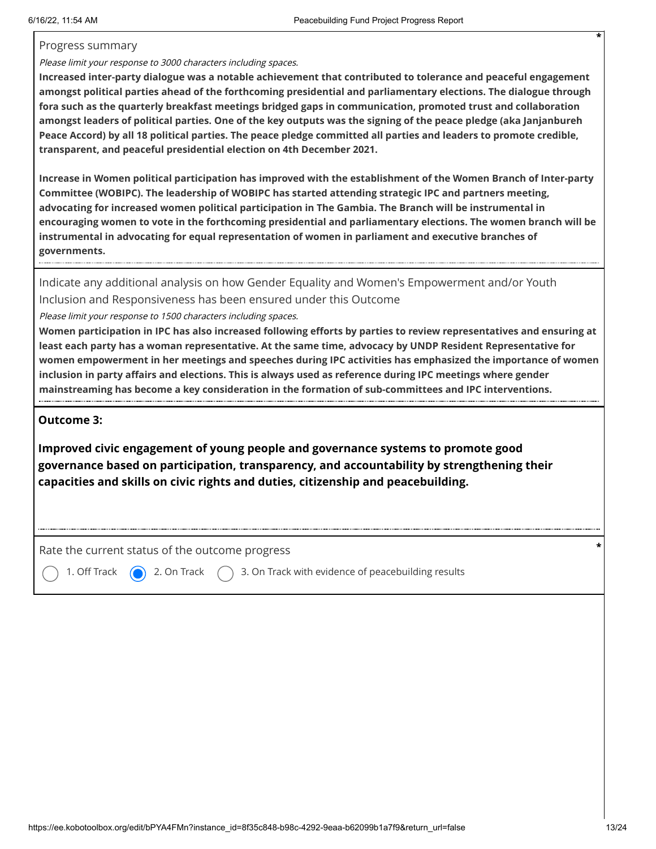### Progress summary

### Please limit your response to 3000 characters including spaces.

**Increased inter-party dialogue was a notable achievement that contributed to tolerance and peaceful engagement amongst political parties ahead of the forthcoming presidential and parliamentary elections. The dialogue through fora such as the quarterly breakfast meetings bridged gaps in communication, promoted trust and collaboration amongst leaders of political parties. One of the key outputs was the signing of the peace pledge (aka Janjanbureh Peace Accord) by all 18 political parties. The peace pledge committed all parties and leaders to promote credible, transparent, and peaceful presidential election on 4th December 2021.** 

**Increase in Women political participation has improved with the establishment of the Women Branch of Inter-party Committee (WOBIPC). The leadership of WOBIPC has started attending strategic IPC and partners meeting, advocating for increased women political participation in The Gambia. The Branch will be instrumental in encouraging women to vote in the forthcoming presidential and parliamentary elections. The women branch will be instrumental in advocating for equal representation of women in parliament and executive branches of governments.**

Indicate any additional analysis on how Gender Equality and Women's Empowerment and/or Youth Inclusion and Responsiveness has been ensured under this Outcome

Please limit your response to 1500 characters including spaces.

**Women participation in IPC has also increased following efforts by parties to review representatives and ensuring at least each party has a woman representative. At the same time, advocacy by UNDP Resident Representative for women empowerment in her meetings and speeches during IPC activities has emphasized the importance of women inclusion in party affairs and elections. This is always used as reference during IPC meetings where gender mainstreaming has become a key consideration in the formation of sub-committees and IPC interventions.**

### **Outcome 3:**

**Improved civic engagement of young people and governance systems to promote good governance based on participation, transparency, and accountability by strengthening their capacities and skills on civic rights and duties, citizenship and peacebuilding.**

Rate the current status of the outcome progress **\***

1. Off Track  $\bigcirc$  2. On Track  $\bigcirc$  3. On Track with evidence of peacebuilding results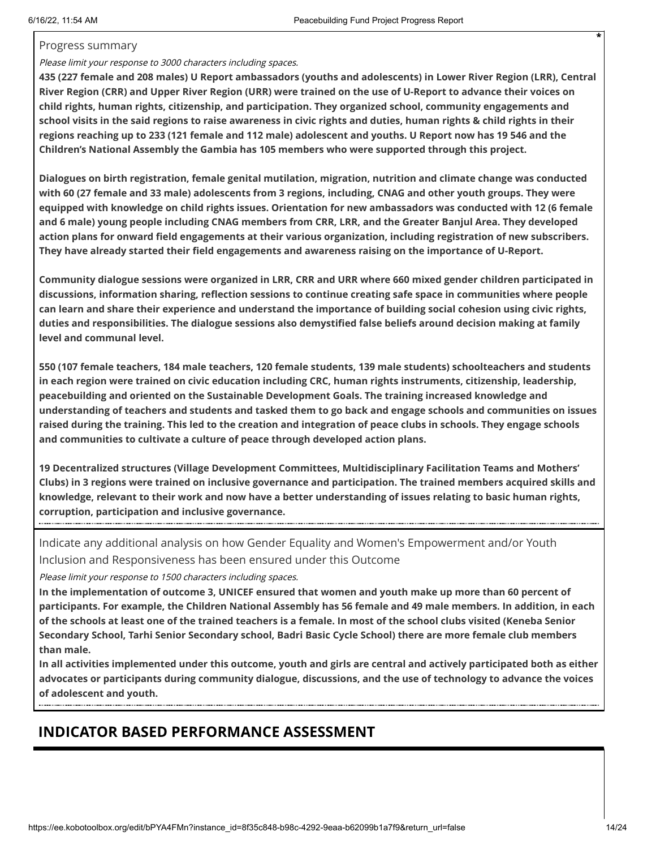#### Progress summary

### Please limit your response to 3000 characters including spaces.

**435 (227 female and 208 males) U Report ambassadors (youths and adolescents) in Lower River Region (LRR), Central River Region (CRR) and Upper River Region (URR) were trained on the use of U-Report to advance their voices on child rights, human rights, citizenship, and participation. They organized school, community engagements and school visits in the said regions to raise awareness in civic rights and duties, human rights & child rights in their regions reaching up to 233 (121 female and 112 male) adolescent and youths. U Report now has 19 546 and the Children's National Assembly the Gambia has 105 members who were supported through this project.** 

**Dialogues on birth registration, female genital mutilation, migration, nutrition and climate change was conducted with 60 (27 female and 33 male) adolescents from 3 regions, including, CNAG and other youth groups. They were equipped with knowledge on child rights issues. Orientation for new ambassadors was conducted with 12 (6 female and 6 male) young people including CNAG members from CRR, LRR, and the Greater Banjul Area. They developed action plans for onward field engagements at their various organization, including registration of new subscribers. They have already started their field engagements and awareness raising on the importance of U-Report.** 

**Community dialogue sessions were organized in LRR, CRR and URR where 660 mixed gender children participated in discussions, information sharing, reflection sessions to continue creating safe space in communities where people can learn and share their experience and understand the importance of building social cohesion using civic rights, duties and responsibilities. The dialogue sessions also demystified false beliefs around decision making at family level and communal level.** 

**550 (107 female teachers, 184 male teachers, 120 female students, 139 male students) schoolteachers and students in each region were trained on civic education including CRC, human rights instruments, citizenship, leadership, peacebuilding and oriented on the Sustainable Development Goals. The training increased knowledge and understanding of teachers and students and tasked them to go back and engage schools and communities on issues raised during the training. This led to the creation and integration of peace clubs in schools. They engage schools and communities to cultivate a culture of peace through developed action plans.**

**19 Decentralized structures (Village Development Committees, Multidisciplinary Facilitation Teams and Mothers' Clubs) in 3 regions were trained on inclusive governance and participation. The trained members acquired skills and knowledge, relevant to their work and now have a better understanding of issues relating to basic human rights, corruption, participation and inclusive governance.**

Indicate any additional analysis on how Gender Equality and Women's Empowerment and/or Youth Inclusion and Responsiveness has been ensured under this Outcome

Please limit your response to 1500 characters including spaces.

**In the implementation of outcome 3, UNICEF ensured that women and youth make up more than 60 percent of participants. For example, the Children National Assembly has 56 female and 49 male members. In addition, in each of the schools at least one of the trained teachers is a female. In most of the school clubs visited (Keneba Senior Secondary School, Tarhi Senior Secondary school, Badri Basic Cycle School) there are more female club members than male.** 

**In all activities implemented under this outcome, youth and girls are central and actively participated both as either advocates or participants during community dialogue, discussions, and the use of technology to advance the voices of adolescent and youth.**

# **INDICATOR BASED PERFORMANCE ASSESSMENT**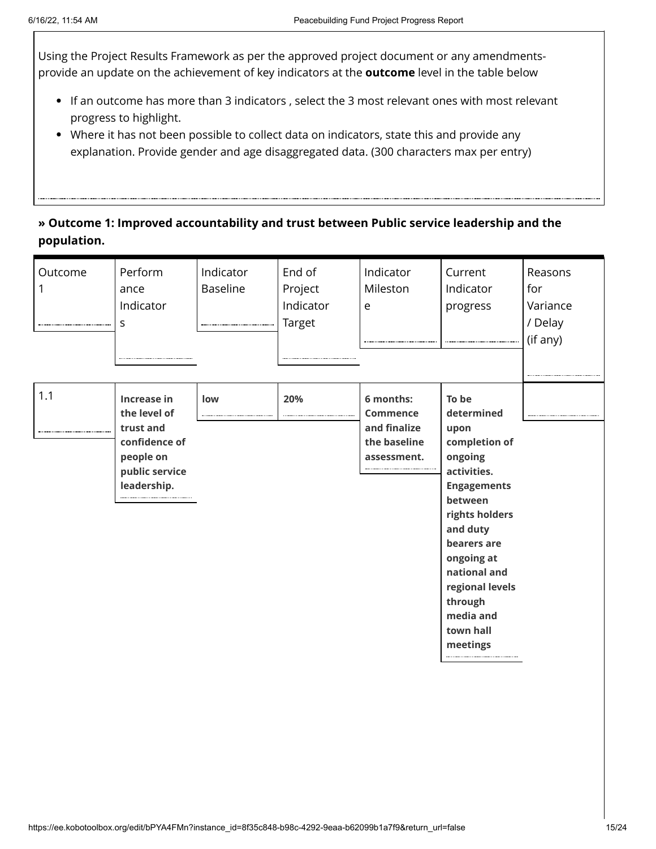Using the Project Results Framework as per the approved project document or any amendmentsprovide an update on the achievement of key indicators at the **outcome** level in the table below

- If an outcome has more than 3 indicators , select the 3 most relevant ones with most relevant progress to highlight.
- Where it has not been possible to collect data on indicators, state this and provide any explanation. Provide gender and age disaggregated data. (300 characters max per entry)

## **» Outcome 1: Improved accountability and trust between Public service leadership and the population.**

| Outcome | Perform<br>ance<br>Indicator<br>S                                                                       | Indicator<br><b>Baseline</b> | End of<br>Project<br>Indicator<br>Target | Indicator<br>Mileston<br>e                                                  | Current<br>Indicator<br>progress                                                                                                                                                                                                                       | Reasons<br>for<br>Variance<br>/ Delay<br>(if any) |
|---------|---------------------------------------------------------------------------------------------------------|------------------------------|------------------------------------------|-----------------------------------------------------------------------------|--------------------------------------------------------------------------------------------------------------------------------------------------------------------------------------------------------------------------------------------------------|---------------------------------------------------|
| 1.1     | Increase in<br>the level of<br>trust and<br>confidence of<br>people on<br>public service<br>leadership. | low                          | 20%                                      | 6 months:<br><b>Commence</b><br>and finalize<br>the baseline<br>assessment. | To be<br>determined<br>upon<br>completion of<br>ongoing<br>activities.<br><b>Engagements</b><br>between<br>rights holders<br>and duty<br>bearers are<br>ongoing at<br>national and<br>regional levels<br>through<br>media and<br>town hall<br>meetings |                                                   |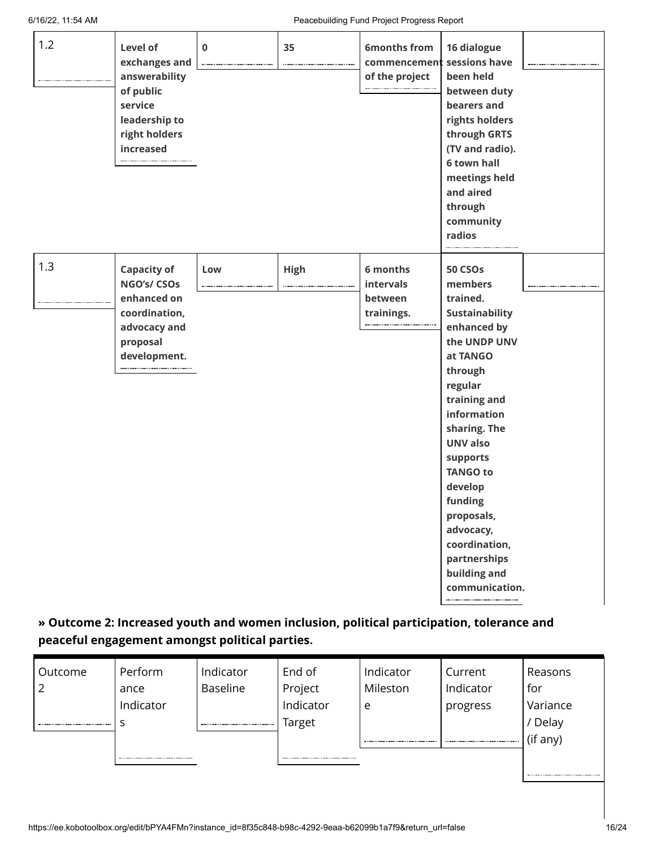| 1.2 | Level of<br>exchanges and<br>answerability<br>of public<br>service<br>leadership to<br>right holders<br>increased | $\bf{0}$ | 35          | <b>6months from</b><br>commencement<br>of the project | 16 dialogue<br>sessions have<br>been held<br>between duty<br>bearers and<br>rights holders<br>through GRTS<br>(TV and radio).<br><b>6 town hall</b><br>meetings held<br>and aired<br>through<br>community<br>radios                                                                                                                                  |  |
|-----|-------------------------------------------------------------------------------------------------------------------|----------|-------------|-------------------------------------------------------|------------------------------------------------------------------------------------------------------------------------------------------------------------------------------------------------------------------------------------------------------------------------------------------------------------------------------------------------------|--|
| 1.3 | <b>Capacity of</b><br>NGO's/ CSOs<br>enhanced on<br>coordination,<br>advocacy and<br>proposal<br>development.     | Low      | <b>High</b> | 6 months<br>intervals<br>between<br>trainings.        | <b>50 CSOs</b><br>members<br>trained.<br><b>Sustainability</b><br>enhanced by<br>the UNDP UNV<br>at TANGO<br>through<br>regular<br>training and<br>information<br>sharing. The<br><b>UNV also</b><br>supports<br><b>TANGO to</b><br>develop<br>funding<br>proposals,<br>advocacy,<br>coordination,<br>partnerships<br>building and<br>communication. |  |

## **» Outcome 2: Increased youth and women inclusion, political participation, tolerance and peaceful engagement amongst political parties.**

| Outcome | Perform   | Indicator       | End of    | Indicator | Current   | Reasons  |
|---------|-----------|-----------------|-----------|-----------|-----------|----------|
|         | ance      | <b>Baseline</b> | Project   | Mileston  | Indicator | for      |
|         | Indicator |                 | Indicator | e         | progress  | Variance |
|         |           |                 | Target    |           |           | Delay    |
|         |           |                 |           |           |           | (if any) |
|         |           |                 |           |           |           |          |
|         |           |                 |           |           |           |          |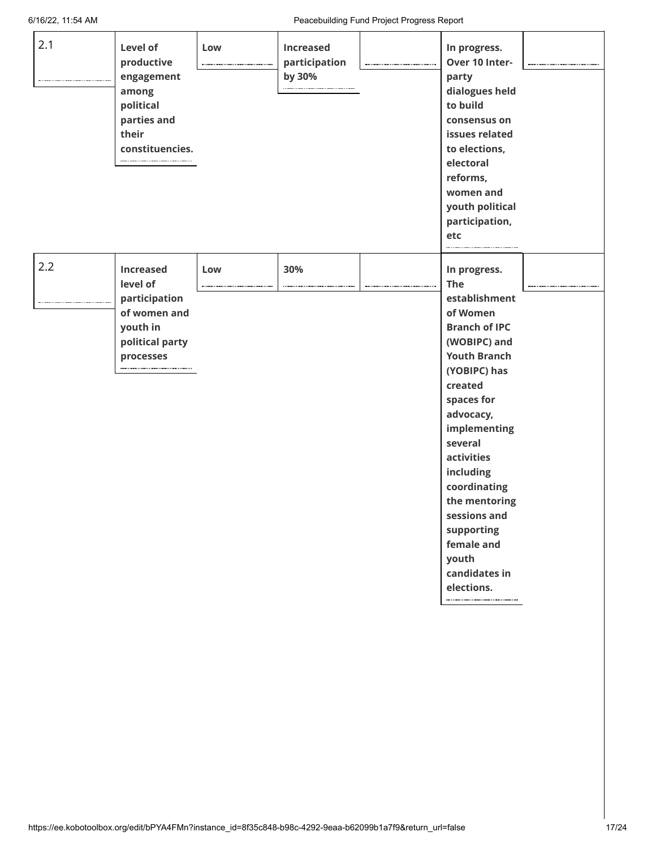| 2.1 | Level of<br>productive<br>engagement<br>among<br>political<br>parties and<br>their<br>constituencies.     | Low | <b>Increased</b><br>participation<br>by 30% | In progress.<br>Over 10 Inter-<br>party<br>dialogues held<br>to build<br>consensus on<br>issues related<br>to elections,<br>electoral<br>reforms,<br>women and<br>youth political<br>participation,<br>etc                                                                                                                                                     |  |
|-----|-----------------------------------------------------------------------------------------------------------|-----|---------------------------------------------|----------------------------------------------------------------------------------------------------------------------------------------------------------------------------------------------------------------------------------------------------------------------------------------------------------------------------------------------------------------|--|
| 2.2 | <b>Increased</b><br>level of<br>participation<br>of women and<br>youth in<br>political party<br>processes | Low | 30%                                         | In progress.<br><b>The</b><br>establishment<br>of Women<br><b>Branch of IPC</b><br>(WOBIPC) and<br><b>Youth Branch</b><br>(YOBIPC) has<br>created<br>spaces for<br>advocacy,<br>implementing<br>several<br><b>activities</b><br>including<br>coordinating<br>the mentoring<br>sessions and<br>supporting<br>female and<br>youth<br>candidates in<br>elections. |  |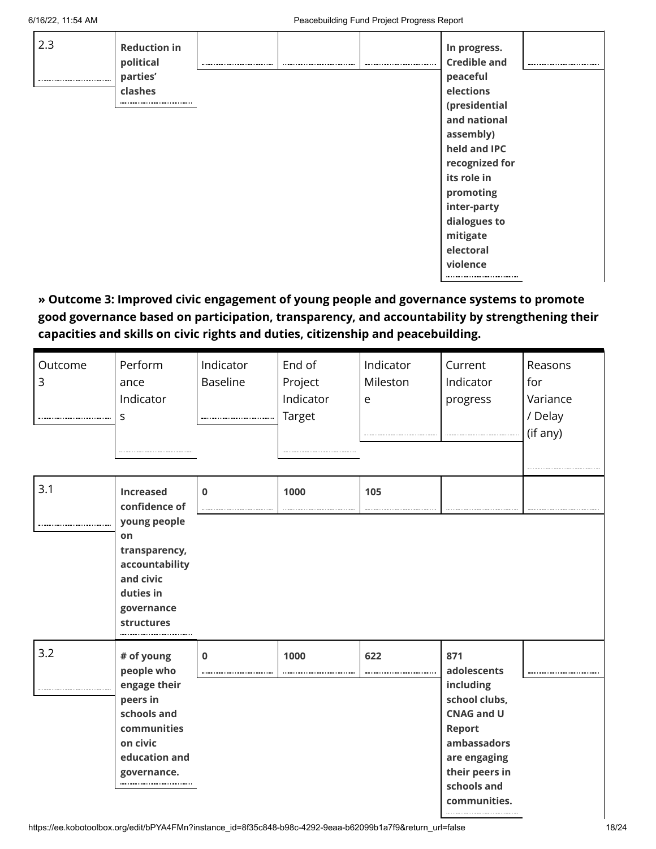| 2.3 | <b>Reduction in</b><br>political |  | In progress.<br><b>Credible and</b> |  |
|-----|----------------------------------|--|-------------------------------------|--|
|     | parties'                         |  | peaceful                            |  |
|     | clashes                          |  | elections                           |  |
|     |                                  |  | (presidential                       |  |
|     |                                  |  | and national                        |  |
|     |                                  |  | assembly)                           |  |
|     |                                  |  | held and IPC                        |  |
|     |                                  |  | recognized for                      |  |
|     |                                  |  | its role in                         |  |
|     |                                  |  | promoting                           |  |
|     |                                  |  | inter-party                         |  |
|     |                                  |  | dialogues to                        |  |
|     |                                  |  | mitigate                            |  |
|     |                                  |  | electoral                           |  |
|     |                                  |  | violence                            |  |
|     |                                  |  |                                     |  |

**» Outcome 3: Improved civic engagement of young people and governance systems to promote good governance based on participation, transparency, and accountability by strengthening their capacities and skills on civic rights and duties, citizenship and peacebuilding.**

| Outcome<br>3 | Perform<br>ance<br>Indicator<br>S                                                                                              | Indicator<br><b>Baseline</b> | End of<br>Project<br>Indicator<br>Target | Indicator<br>Mileston<br>e | Current<br>Indicator<br>progress                                                                                                                                       | Reasons<br>for<br>Variance<br>/ Delay<br>(if any) |
|--------------|--------------------------------------------------------------------------------------------------------------------------------|------------------------------|------------------------------------------|----------------------------|------------------------------------------------------------------------------------------------------------------------------------------------------------------------|---------------------------------------------------|
| 3.1          | <b>Increased</b><br>confidence of                                                                                              | $\mathbf 0$                  | 1000                                     | 105                        |                                                                                                                                                                        |                                                   |
|              | young people<br>on<br>transparency,<br>accountability<br>and civic<br>duties in<br>governance<br>structures                    |                              |                                          |                            |                                                                                                                                                                        |                                                   |
| 3.2          | # of young<br>people who<br>engage their<br>peers in<br>schools and<br>communities<br>on civic<br>education and<br>governance. | $\mathbf 0$                  | 1000                                     | 622                        | 871<br>adolescents<br>including<br>school clubs,<br><b>CNAG and U</b><br><b>Report</b><br>ambassadors<br>are engaging<br>their peers in<br>schools and<br>communities. |                                                   |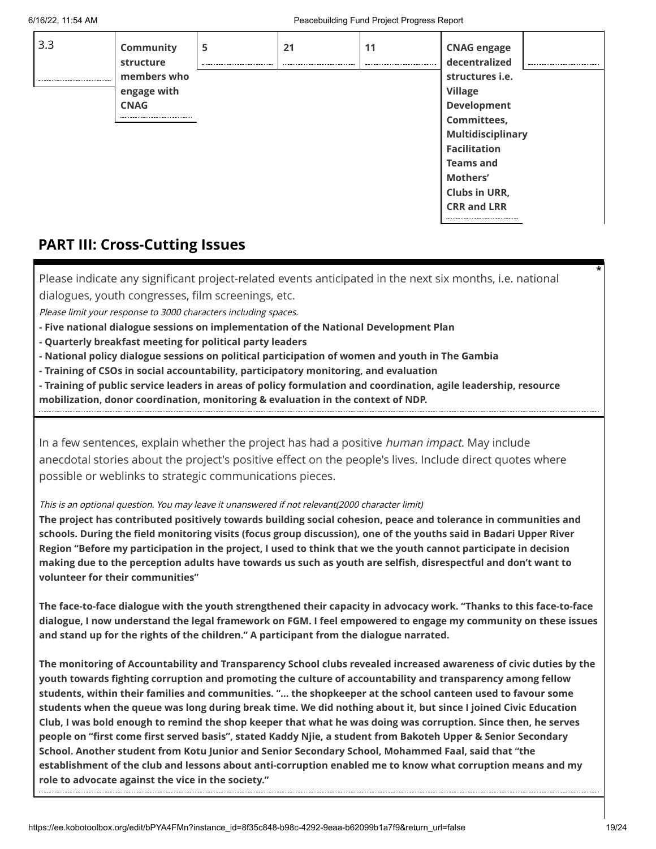| 3.3 | Community<br>structure | 5 | 21 | 11 | <b>CNAG engage</b><br>decentralized |  |
|-----|------------------------|---|----|----|-------------------------------------|--|
|     | members who            |   |    |    | structures <i>i.e.</i>              |  |
|     | engage with            |   |    |    | <b>Village</b>                      |  |
|     | <b>CNAG</b>            |   |    |    | Development                         |  |
|     |                        |   |    |    | Committees,                         |  |
|     |                        |   |    |    | <b>Multidisciplinary</b>            |  |
|     |                        |   |    |    | <b>Facilitation</b>                 |  |
|     |                        |   |    |    | <b>Teams and</b>                    |  |
|     |                        |   |    |    | Mothers'                            |  |
|     |                        |   |    |    | <b>Clubs in URR,</b>                |  |
|     |                        |   |    |    | <b>CRR and LRR</b>                  |  |
|     |                        |   |    |    |                                     |  |

## **PART III: Cross-Cutting Issues**

Please indicate any significant project-related events anticipated in the next six months, i.e. national dialogues, youth congresses, film screenings, etc.

Please limit your response to 3000 characters including spaces.

- **- Five national dialogue sessions on implementation of the National Development Plan**
- **- Quarterly breakfast meeting for political party leaders**
- **- National policy dialogue sessions on political participation of women and youth in The Gambia**
- **- Training of CSOs in social accountability, participatory monitoring, and evaluation**
- **- Training of public service leaders in areas of policy formulation and coordination, agile leadership, resource mobilization, donor coordination, monitoring & evaluation in the context of NDP.**

In a few sentences, explain whether the project has had a positive *human impact*. May include anecdotal stories about the project's positive effect on the people's lives. Include direct quotes where possible or weblinks to strategic communications pieces.

#### This is an optional question. You may leave it unanswered if not relevant(2000 character limit)

**The project has contributed positively towards building social cohesion, peace and tolerance in communities and schools. During the field monitoring visits (focus group discussion), one of the youths said in Badari Upper River Region "Before my participation in the project, I used to think that we the youth cannot participate in decision making due to the perception adults have towards us such as youth are selfish, disrespectful and don't want to volunteer for their communities"** 

**The face-to-face dialogue with the youth strengthened their capacity in advocacy work. "Thanks to this face-to-face dialogue, I now understand the legal framework on FGM. I feel empowered to engage my community on these issues and stand up for the rights of the children." A participant from the dialogue narrated.** 

**The monitoring of Accountability and Transparency School clubs revealed increased awareness of civic duties by the youth towards fighting corruption and promoting the culture of accountability and transparency among fellow students, within their families and communities. "… the shopkeeper at the school canteen used to favour some students when the queue was long during break time. We did nothing about it, but since I joined Civic Education Club, I was bold enough to remind the shop keeper that what he was doing was corruption. Since then, he serves people on "first come first served basis", stated Kaddy Njie, a student from Bakoteh Upper & Senior Secondary School. Another student from Kotu Junior and Senior Secondary School, Mohammed Faal, said that "the establishment of the club and lessons about anti-corruption enabled me to know what corruption means and my role to advocate against the vice in the society."**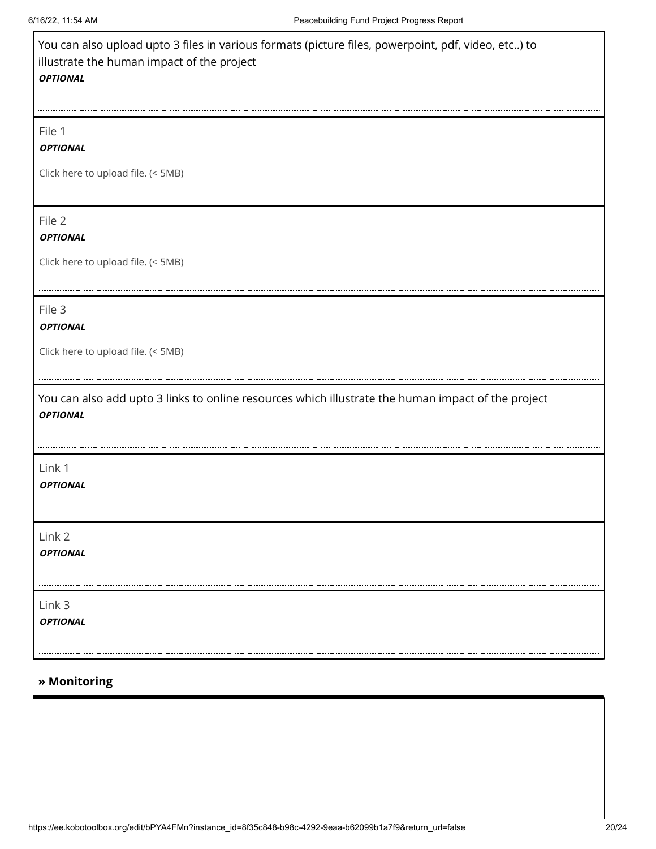| You can also upload upto 3 files in various formats (picture files, powerpoint, pdf, video, etc) to<br>illustrate the human impact of the project<br><b>OPTIONAL</b> |
|----------------------------------------------------------------------------------------------------------------------------------------------------------------------|
| File 1<br><b>OPTIONAL</b>                                                                                                                                            |
| Click here to upload file. (< 5MB)                                                                                                                                   |
| File 2<br><b>OPTIONAL</b>                                                                                                                                            |
| Click here to upload file. (< 5MB)                                                                                                                                   |
| File 3<br><b>OPTIONAL</b>                                                                                                                                            |
| Click here to upload file. (< 5MB)                                                                                                                                   |
| You can also add upto 3 links to online resources which illustrate the human impact of the project<br><b>OPTIONAL</b>                                                |
| Link 1<br><b>OPTIONAL</b>                                                                                                                                            |
| Link 2<br><b>OPTIONAL</b>                                                                                                                                            |
| Link 3<br><b>OPTIONAL</b>                                                                                                                                            |

## **» Monitoring**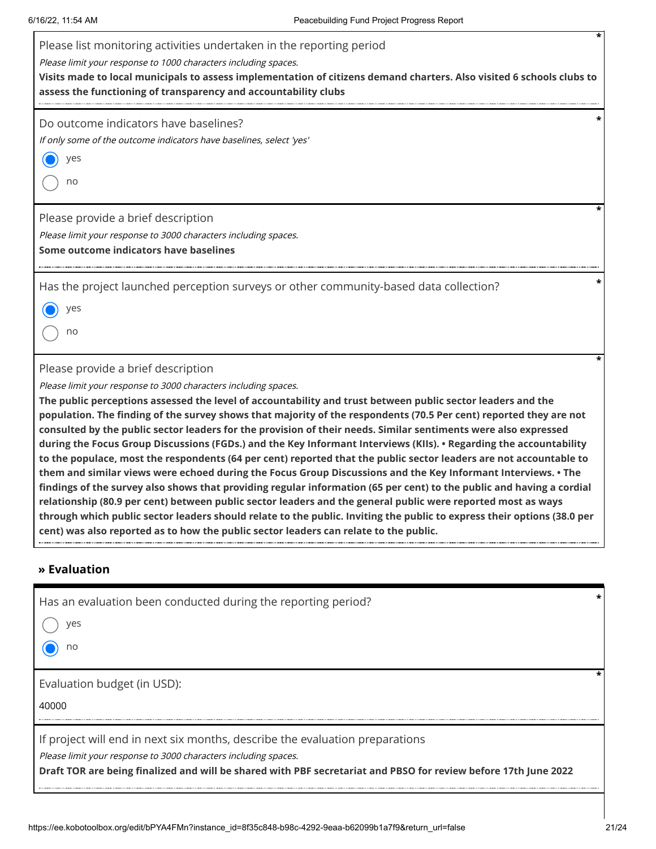| Please list monitoring activities undertaken in the reporting period<br>Please limit your response to 1000 characters including spaces.<br>Visits made to local municipals to assess implementation of citizens demand charters. Also visited 6 schools clubs to<br>assess the functioning of transparency and accountability clubs                                                                                                                                                                                                                                                                                                                                                                                                                                                                                                                                                                                                                                                                                                                                                                                                                                                                                                                                                     |
|-----------------------------------------------------------------------------------------------------------------------------------------------------------------------------------------------------------------------------------------------------------------------------------------------------------------------------------------------------------------------------------------------------------------------------------------------------------------------------------------------------------------------------------------------------------------------------------------------------------------------------------------------------------------------------------------------------------------------------------------------------------------------------------------------------------------------------------------------------------------------------------------------------------------------------------------------------------------------------------------------------------------------------------------------------------------------------------------------------------------------------------------------------------------------------------------------------------------------------------------------------------------------------------------|
| Do outcome indicators have baselines?<br>If only some of the outcome indicators have baselines, select 'yes'<br>yes<br>no                                                                                                                                                                                                                                                                                                                                                                                                                                                                                                                                                                                                                                                                                                                                                                                                                                                                                                                                                                                                                                                                                                                                                               |
| Please provide a brief description<br>Please limit your response to 3000 characters including spaces.<br>Some outcome indicators have baselines                                                                                                                                                                                                                                                                                                                                                                                                                                                                                                                                                                                                                                                                                                                                                                                                                                                                                                                                                                                                                                                                                                                                         |
| Has the project launched perception surveys or other community-based data collection?<br>yes<br>no                                                                                                                                                                                                                                                                                                                                                                                                                                                                                                                                                                                                                                                                                                                                                                                                                                                                                                                                                                                                                                                                                                                                                                                      |
| Please provide a brief description<br>Please limit your response to 3000 characters including spaces.<br>The public perceptions assessed the level of accountability and trust between public sector leaders and the<br>population. The finding of the survey shows that majority of the respondents (70.5 Per cent) reported they are not<br>consulted by the public sector leaders for the provision of their needs. Similar sentiments were also expressed<br>during the Focus Group Discussions (FGDs.) and the Key Informant Interviews (KIIs). • Regarding the accountability<br>to the populace, most the respondents (64 per cent) reported that the public sector leaders are not accountable to<br>them and similar views were echoed during the Focus Group Discussions and the Key Informant Interviews. • The<br>findings of the survey also shows that providing regular information (65 per cent) to the public and having a cordial<br>relationship (80.9 per cent) between public sector leaders and the general public were reported most as ways<br>through which public sector leaders should relate to the public. Inviting the public to express their options (38.0 per<br>cent) was also reported as to how the public sector leaders can relate to the public. |
| » Evaluation                                                                                                                                                                                                                                                                                                                                                                                                                                                                                                                                                                                                                                                                                                                                                                                                                                                                                                                                                                                                                                                                                                                                                                                                                                                                            |
| Has an evaluation been conducted during the reporting period?<br>yes<br>no                                                                                                                                                                                                                                                                                                                                                                                                                                                                                                                                                                                                                                                                                                                                                                                                                                                                                                                                                                                                                                                                                                                                                                                                              |
| Evaluation budget (in USD):<br>40000                                                                                                                                                                                                                                                                                                                                                                                                                                                                                                                                                                                                                                                                                                                                                                                                                                                                                                                                                                                                                                                                                                                                                                                                                                                    |
| If project will end in next six months, describe the evaluation preparations                                                                                                                                                                                                                                                                                                                                                                                                                                                                                                                                                                                                                                                                                                                                                                                                                                                                                                                                                                                                                                                                                                                                                                                                            |

Please limit your response to 3000 characters including spaces.

**Draft TOR are being finalized and will be shared with PBF secretariat and PBSO for review before 17th June 2022**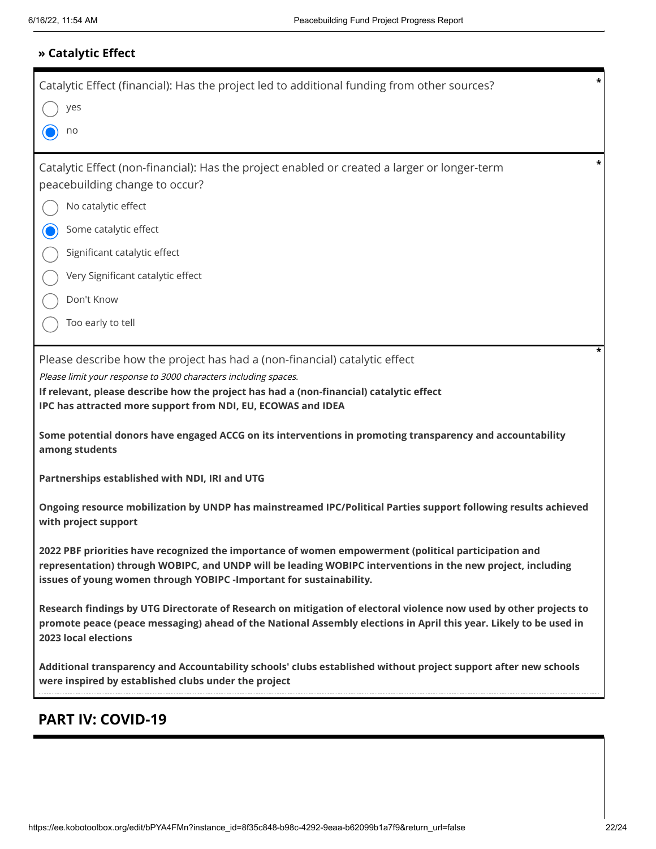## **» Catalytic Effect**

| *<br>Catalytic Effect (financial): Has the project led to additional funding from other sources?                                                                                                                                                                                                                                                                                                                      |
|-----------------------------------------------------------------------------------------------------------------------------------------------------------------------------------------------------------------------------------------------------------------------------------------------------------------------------------------------------------------------------------------------------------------------|
| yes                                                                                                                                                                                                                                                                                                                                                                                                                   |
| no                                                                                                                                                                                                                                                                                                                                                                                                                    |
| Catalytic Effect (non-financial): Has the project enabled or created a larger or longer-term<br>peacebuilding change to occur?                                                                                                                                                                                                                                                                                        |
| No catalytic effect                                                                                                                                                                                                                                                                                                                                                                                                   |
| Some catalytic effect                                                                                                                                                                                                                                                                                                                                                                                                 |
| Significant catalytic effect                                                                                                                                                                                                                                                                                                                                                                                          |
| Very Significant catalytic effect                                                                                                                                                                                                                                                                                                                                                                                     |
| Don't Know                                                                                                                                                                                                                                                                                                                                                                                                            |
| Too early to tell                                                                                                                                                                                                                                                                                                                                                                                                     |
|                                                                                                                                                                                                                                                                                                                                                                                                                       |
| Please describe how the project has had a (non-financial) catalytic effect<br>Please limit your response to 3000 characters including spaces.<br>If relevant, please describe how the project has had a (non-financial) catalytic effect<br>IPC has attracted more support from NDI, EU, ECOWAS and IDEA<br>Some potential donors have engaged ACCG on its interventions in promoting transparency and accountability |
| among students<br>Partnerships established with NDI, IRI and UTG                                                                                                                                                                                                                                                                                                                                                      |
|                                                                                                                                                                                                                                                                                                                                                                                                                       |
| Ongoing resource mobilization by UNDP has mainstreamed IPC/Political Parties support following results achieved<br>with project support                                                                                                                                                                                                                                                                               |
| 2022 PBF priorities have recognized the importance of women empowerment (political participation and<br>representation) through WOBIPC, and UNDP will be leading WOBIPC interventions in the new project, including<br>issues of young women through YOBIPC -Important for sustainability.                                                                                                                            |
| Research findings by UTG Directorate of Research on mitigation of electoral violence now used by other projects to<br>promote peace (peace messaging) ahead of the National Assembly elections in April this year. Likely to be used in<br>2023 local elections                                                                                                                                                       |
| Additional transparency and Accountability schools' clubs established without project support after new schools<br>were inspired by established clubs under the project                                                                                                                                                                                                                                               |
| <b>PART IV: COVID-19</b>                                                                                                                                                                                                                                                                                                                                                                                              |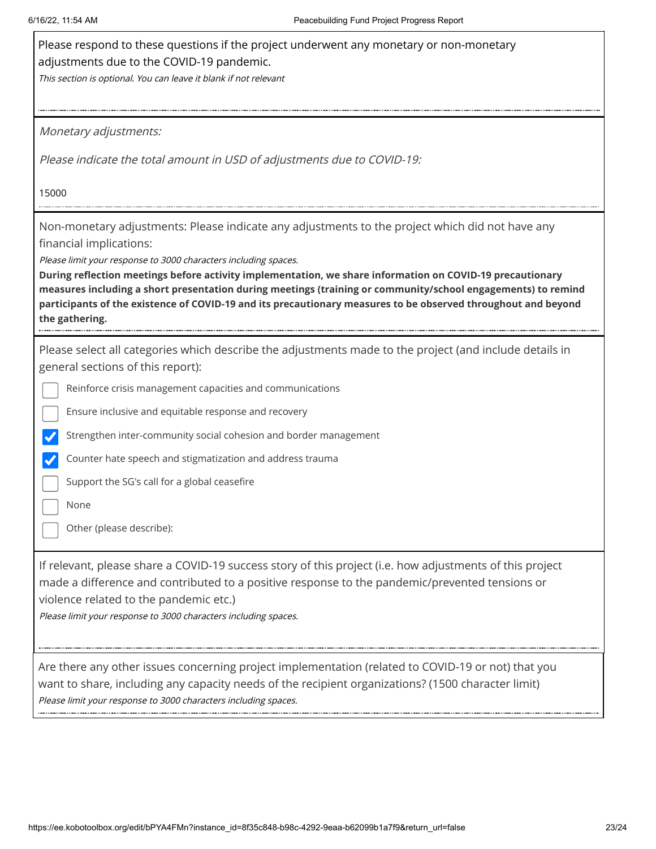| Please respond to these questions if the project underwent any monetary or non-monetary<br>adjustments due to the COVID-19 pandemic.                                                                                                                                                                                                                                                                                            |
|---------------------------------------------------------------------------------------------------------------------------------------------------------------------------------------------------------------------------------------------------------------------------------------------------------------------------------------------------------------------------------------------------------------------------------|
| This section is optional. You can leave it blank if not relevant                                                                                                                                                                                                                                                                                                                                                                |
|                                                                                                                                                                                                                                                                                                                                                                                                                                 |
| Monetary adjustments:                                                                                                                                                                                                                                                                                                                                                                                                           |
| Please indicate the total amount in USD of adjustments due to COVID-19:                                                                                                                                                                                                                                                                                                                                                         |
| 15000                                                                                                                                                                                                                                                                                                                                                                                                                           |
| Non-monetary adjustments: Please indicate any adjustments to the project which did not have any<br>financial implications:                                                                                                                                                                                                                                                                                                      |
| Please limit your response to 3000 characters including spaces.<br>During reflection meetings before activity implementation, we share information on COVID-19 precautionary<br>measures including a short presentation during meetings (training or community/school engagements) to remind<br>participants of the existence of COVID-19 and its precautionary measures to be observed throughout and beyond<br>the gathering. |
| Please select all categories which describe the adjustments made to the project (and include details in<br>general sections of this report):                                                                                                                                                                                                                                                                                    |
| Reinforce crisis management capacities and communications                                                                                                                                                                                                                                                                                                                                                                       |
| Ensure inclusive and equitable response and recovery                                                                                                                                                                                                                                                                                                                                                                            |
| Strengthen inter-community social cohesion and border management                                                                                                                                                                                                                                                                                                                                                                |
| Counter hate speech and stigmatization and address trauma                                                                                                                                                                                                                                                                                                                                                                       |
| Support the SG's call for a global ceasefire                                                                                                                                                                                                                                                                                                                                                                                    |
| None                                                                                                                                                                                                                                                                                                                                                                                                                            |
| Other (please describe):                                                                                                                                                                                                                                                                                                                                                                                                        |
| If relevant, please share a COVID-19 success story of this project (i.e. how adjustments of this project<br>made a difference and contributed to a positive response to the pandemic/prevented tensions or<br>violence related to the pandemic etc.)<br>Please limit your response to 3000 characters including spaces.                                                                                                         |
| Are there any other issues concerning project implementation (related to COVID-19 or not) that you<br>want to share, including any capacity needs of the recipient organizations? (1500 character limit)<br>Please limit your response to 3000 characters including spaces.                                                                                                                                                     |